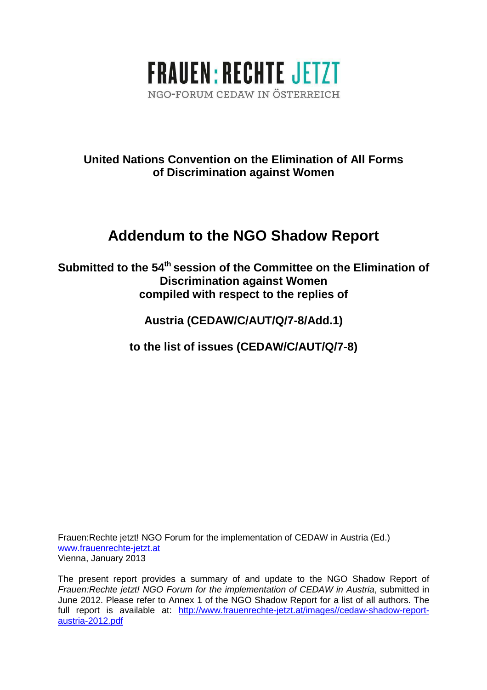

# **United Nations Convention on the Elimination of All Forms of Discrimination against Women**

# **Addendum to the NGO Shadow Report**

**Submitted to the 54th session of the Committee on the Elimination of Discrimination against Women compiled with respect to the replies of** 

**Austria (CEDAW/C/AUT/Q/7-8/Add.1)** 

**to the list of issues (CEDAW/C/AUT/Q/7-8)** 

Frauen:Rechte jetzt! NGO Forum for the implementation of CEDAW in Austria (Ed.) www.frauenrechte-jetzt.at Vienna, January 2013

The present report provides a summary of and update to the NGO Shadow Report of Frauen:Rechte jetzt! NGO Forum for the implementation of CEDAW in Austria, submitted in June 2012. Please refer to Annex 1 of the NGO Shadow Report for a list of all authors. The full report is available at: http://www.frauenrechte-jetzt.at/images//cedaw-shadow-reportaustria-2012.pdf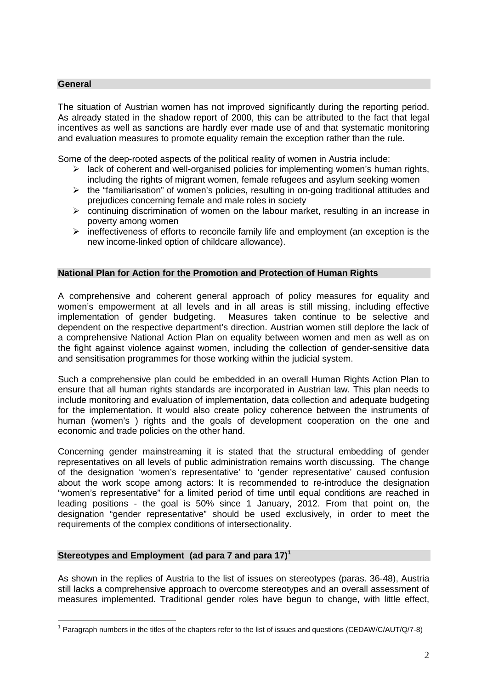#### **General**

The situation of Austrian women has not improved significantly during the reporting period. As already stated in the shadow report of 2000, this can be attributed to the fact that legal incentives as well as sanctions are hardly ever made use of and that systematic monitoring and evaluation measures to promote equality remain the exception rather than the rule.

Some of the deep-rooted aspects of the political reality of women in Austria include:

- $\triangleright$  lack of coherent and well-organised policies for implementing women's human rights, including the rights of migrant women, female refugees and asylum seeking women
- $\triangleright$  the "familiarisation" of women's policies, resulting in on-going traditional attitudes and prejudices concerning female and male roles in society
- $\triangleright$  continuing discrimination of women on the labour market, resulting in an increase in poverty among women
- $\triangleright$  ineffectiveness of efforts to reconcile family life and employment (an exception is the new income-linked option of childcare allowance).

#### **National Plan for Action for the Promotion and Protection of Human Rights**

A comprehensive and coherent general approach of policy measures for equality and women's empowerment at all levels and in all areas is still missing, including effective implementation of gender budgeting. Measures taken continue to be selective and dependent on the respective department's direction. Austrian women still deplore the lack of a comprehensive National Action Plan on equality between women and men as well as on the fight against violence against women, including the collection of gender-sensitive data and sensitisation programmes for those working within the judicial system.

Such a comprehensive plan could be embedded in an overall Human Rights Action Plan to ensure that all human rights standards are incorporated in Austrian law. This plan needs to include monitoring and evaluation of implementation, data collection and adequate budgeting for the implementation. It would also create policy coherence between the instruments of human (women's ) rights and the goals of development cooperation on the one and economic and trade policies on the other hand.

Concerning gender mainstreaming it is stated that the structural embedding of gender representatives on all levels of public administration remains worth discussing. The change of the designation 'women's representative' to 'gender representative' caused confusion about the work scope among actors: It is recommended to re-introduce the designation "women's representative" for a limited period of time until equal conditions are reached in leading positions - the goal is 50% since 1 January, 2012. From that point on, the designation "gender representative" should be used exclusively, in order to meet the requirements of the complex conditions of intersectionality.

#### **Stereotypes and Employment (ad para 7 and para 17)<sup>1</sup>**

As shown in the replies of Austria to the list of issues on stereotypes (paras. 36-48), Austria still lacks a comprehensive approach to overcome stereotypes and an overall assessment of measures implemented. Traditional gender roles have begun to change, with little effect,

 $\overline{\phantom{a}}$ <sup>1</sup> Paragraph numbers in the titles of the chapters refer to the list of issues and questions (CEDAW/C/AUT/Q/7-8)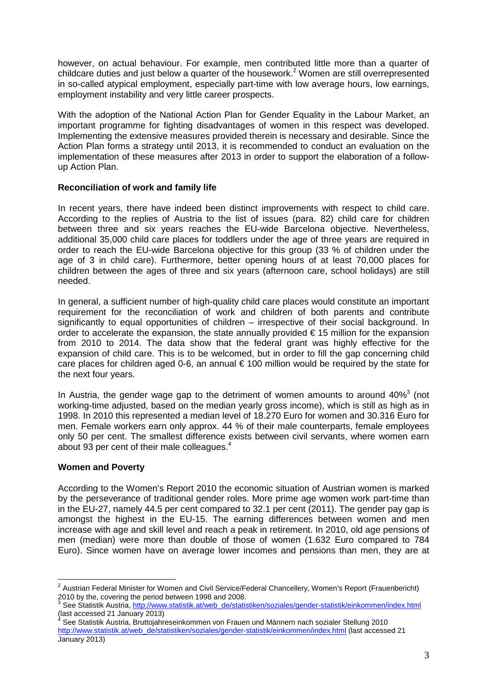however, on actual behaviour. For example, men contributed little more than a quarter of childcare duties and just below a quarter of the housework.<sup>2</sup> Women are still overrepresented in so-called atypical employment, especially part-time with low average hours, low earnings, employment instability and very little career prospects.

With the adoption of the National Action Plan for Gender Equality in the Labour Market, an important programme for fighting disadvantages of women in this respect was developed. Implementing the extensive measures provided therein is necessary and desirable. Since the Action Plan forms a strategy until 2013, it is recommended to conduct an evaluation on the implementation of these measures after 2013 in order to support the elaboration of a followup Action Plan.

#### **Reconciliation of work and family life**

In recent years, there have indeed been distinct improvements with respect to child care. According to the replies of Austria to the list of issues (para. 82) child care for children between three and six years reaches the EU-wide Barcelona objective. Nevertheless, additional 35,000 child care places for toddlers under the age of three years are required in order to reach the EU-wide Barcelona objective for this group (33 % of children under the age of 3 in child care). Furthermore, better opening hours of at least 70,000 places for children between the ages of three and six years (afternoon care, school holidays) are still needed.

In general, a sufficient number of high-quality child care places would constitute an important requirement for the reconciliation of work and children of both parents and contribute significantly to equal opportunities of children – irrespective of their social background. In order to accelerate the expansion, the state annually provided  $\epsilon$  15 million for the expansion from 2010 to 2014. The data show that the federal grant was highly effective for the expansion of child care. This is to be welcomed, but in order to fill the gap concerning child care places for children aged 0-6, an annual  $\epsilon$  100 million would be required by the state for the next four years.

In Austria, the gender wage gap to the detriment of women amounts to around  $40\%$ <sup>3</sup> (not working-time adjusted, based on the median yearly gross income), which is still as high as in 1998. In 2010 this represented a median level of 18.270 Euro for women and 30.316 Euro for men. Female workers earn only approx. 44 % of their male counterparts, female employees only 50 per cent. The smallest difference exists between civil servants, where women earn about 93 per cent of their male colleagues. $4$ 

#### **Women and Poverty**

 $\overline{a}$ 

According to the Women's Report 2010 the economic situation of Austrian women is marked by the perseverance of traditional gender roles. More prime age women work part-time than in the EU-27, namely 44.5 per cent compared to 32.1 per cent (2011). The gender pay gap is amongst the highest in the EU-15. The earning differences between women and men increase with age and skill level and reach a peak in retirement. In 2010, old age pensions of men (median) were more than double of those of women (1.632 Euro compared to 784 Euro). Since women have on average lower incomes and pensions than men, they are at

<sup>&</sup>lt;sup>2</sup> Austrian Federal Minister for Women and Civil Service/Federal Chancellery, Women's Report (Frauenbericht)

<sup>2010</sup> by the, covering the period between 1998 and 2008.<br><sup>3</sup> See Statistik Austria, <u>http://www.statistik.at/web\_de/statistiken/soziales/gender-statistik/einkommen/index.html</u> (last accessed 21 January 2013)<br><sup>4</sup> See Stetistik Austria, Brutteighra

See Statistik Austria, Bruttojahreseinkommen von Frauen und Männern nach sozialer Stellung 2010 http://www.statistik.at/web\_de/statistiken/soziales/gender-statistik/einkommen/index.html (last accessed 21 January 2013)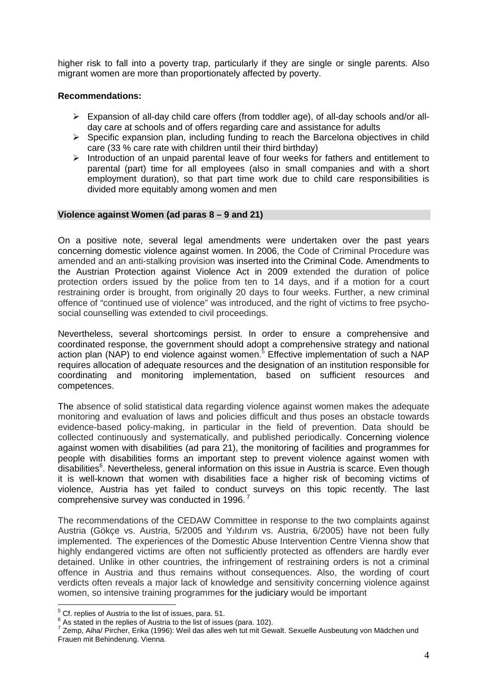higher risk to fall into a poverty trap, particularly if they are single or single parents. Also migrant women are more than proportionately affected by poverty.

#### **Recommendations:**

- Expansion of all-day child care offers (from toddler age), of all-day schools and/or allday care at schools and of offers regarding care and assistance for adults
- $\triangleright$  Specific expansion plan, including funding to reach the Barcelona objectives in child care (33 % care rate with children until their third birthday)
- $\triangleright$  Introduction of an unpaid parental leave of four weeks for fathers and entitlement to parental (part) time for all employees (also in small companies and with a short employment duration), so that part time work due to child care responsibilities is divided more equitably among women and men

#### **Violence against Women (ad paras 8 – 9 and 21)**

On a positive note, several legal amendments were undertaken over the past years concerning domestic violence against women. In 2006, the Code of Criminal Procedure was amended and an anti-stalking provision was inserted into the Criminal Code. Amendments to the Austrian Protection against Violence Act in 2009 extended the duration of police protection orders issued by the police from ten to 14 days, and if a motion for a court restraining order is brought, from originally 20 days to four weeks. Further, a new criminal offence of "continued use of violence" was introduced, and the right of victims to free psychosocial counselling was extended to civil proceedings.

Nevertheless, several shortcomings persist. In order to ensure a comprehensive and coordinated response, the government should adopt a comprehensive strategy and national action plan (NAP) to end violence against women.<sup>5</sup> Effective implementation of such a NAP requires allocation of adequate resources and the designation of an institution responsible for coordinating and monitoring implementation, based on sufficient resources and competences.

The absence of solid statistical data regarding violence against women makes the adequate monitoring and evaluation of laws and policies difficult and thus poses an obstacle towards evidence-based policy-making, in particular in the field of prevention. Data should be collected continuously and systematically, and published periodically. Concerning violence against women with disabilities (ad para 21), the monitoring of facilities and programmes for people with disabilities forms an important step to prevent violence against women with disabilities<sup>6</sup>. Nevertheless, general information on this issue in Austria is scarce. Even though it is well-known that women with disabilities face a higher risk of becoming victims of violence, Austria has yet failed to conduct surveys on this topic recently. The last comprehensive survey was conducted in 1996. $<sup>7</sup>$ </sup>

The recommendations of the CEDAW Committee in response to the two complaints against Austria (Gökçe vs. Austria, 5/2005 and Yıldırım vs. Austria, 6/2005) have not been fully implemented. The experiences of the Domestic Abuse Intervention Centre Vienna show that highly endangered victims are often not sufficiently protected as offenders are hardly ever detained. Unlike in other countries, the infringement of restraining orders is not a criminal offence in Austria and thus remains without consequences. Also, the wording of court verdicts often reveals a major lack of knowledge and sensitivity concerning violence against women, so intensive training programmes for the judiciary would be important

<sup>&</sup>lt;u>External</u><br><sup>5</sup> Cf. replies of Austria to the list of issues, para. 51.

 $6$  As stated in the replies of Austria to the list of issues (para. 102).

<sup>&</sup>lt;sup>7</sup> Zemp, Aiha/ Pircher, Erika (1996): Weil das alles weh tut mit Gewalt. Sexuelle Ausbeutung von Mädchen und Frauen mit Behinderung. Vienna.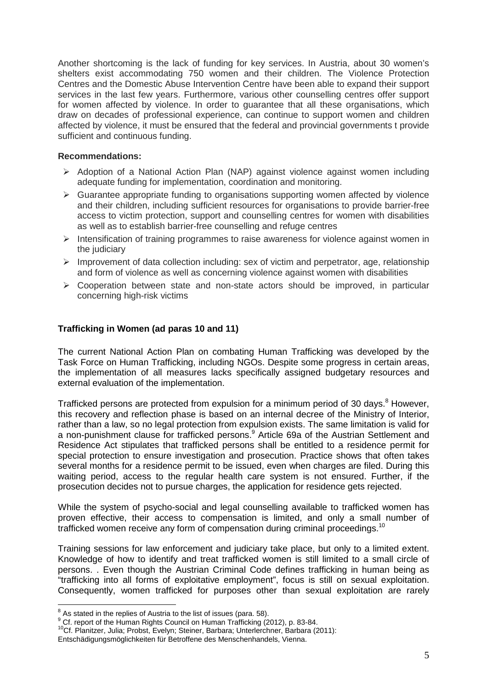Another shortcoming is the lack of funding for key services. In Austria, about 30 women's shelters exist accommodating 750 women and their children. The Violence Protection Centres and the Domestic Abuse Intervention Centre have been able to expand their support services in the last few years. Furthermore, various other counselling centres offer support for women affected by violence. In order to guarantee that all these organisations, which draw on decades of professional experience, can continue to support women and children affected by violence, it must be ensured that the federal and provincial governments t provide sufficient and continuous funding.

#### **Recommendations:**

- $\triangleright$  Adoption of a National Action Plan (NAP) against violence against women including adequate funding for implementation, coordination and monitoring.
- $\triangleright$  Guarantee appropriate funding to organisations supporting women affected by violence and their children, including sufficient resources for organisations to provide barrier-free access to victim protection, support and counselling centres for women with disabilities as well as to establish barrier-free counselling and refuge centres
- $\triangleright$  Intensification of training programmes to raise awareness for violence against women in the judiciary
- $\triangleright$  Improvement of data collection including: sex of victim and perpetrator, age, relationship and form of violence as well as concerning violence against women with disabilities
- $\triangleright$  Cooperation between state and non-state actors should be improved, in particular concerning high-risk victims

## **Trafficking in Women (ad paras 10 and 11)**

The current National Action Plan on combating Human Trafficking was developed by the Task Force on Human Trafficking, including NGOs. Despite some progress in certain areas, the implementation of all measures lacks specifically assigned budgetary resources and external evaluation of the implementation.

Trafficked persons are protected from expulsion for a minimum period of 30 days.<sup>8</sup> However, this recovery and reflection phase is based on an internal decree of the Ministry of Interior, rather than a law, so no legal protection from expulsion exists. The same limitation is valid for a non-punishment clause for trafficked persons.<sup>9</sup> Article 69a of the Austrian Settlement and Residence Act stipulates that trafficked persons shall be entitled to a residence permit for special protection to ensure investigation and prosecution. Practice shows that often takes several months for a residence permit to be issued, even when charges are filed. During this waiting period, access to the regular health care system is not ensured. Further, if the prosecution decides not to pursue charges, the application for residence gets rejected.

While the system of psycho-social and legal counselling available to trafficked women has proven effective, their access to compensation is limited, and only a small number of trafficked women receive any form of compensation during criminal proceedings.<sup>10</sup>

Training sessions for law enforcement and judiciary take place, but only to a limited extent. Knowledge of how to identify and treat trafficked women is still limited to a small circle of persons. . Even though the Austrian Criminal Code defines trafficking in human being as "trafficking into all forms of exploitative employment", focus is still on sexual exploitation. Consequently, women trafficked for purposes other than sexual exploitation are rarely

As stated in the replies of Austria to the list of issues (para. 58).

<sup>&</sup>lt;sup>9</sup> Cf. report of the Human Rights Council on Human Trafficking (2012), p. 83-84.

<sup>&</sup>lt;sup>10</sup>Cf. Planitzer, Julia; Probst, Evelyn; Steiner, Barbara; Unterlerchner, Barbara (2011):

Entschädigungsmöglichkeiten für Betroffene des Menschenhandels, Vienna.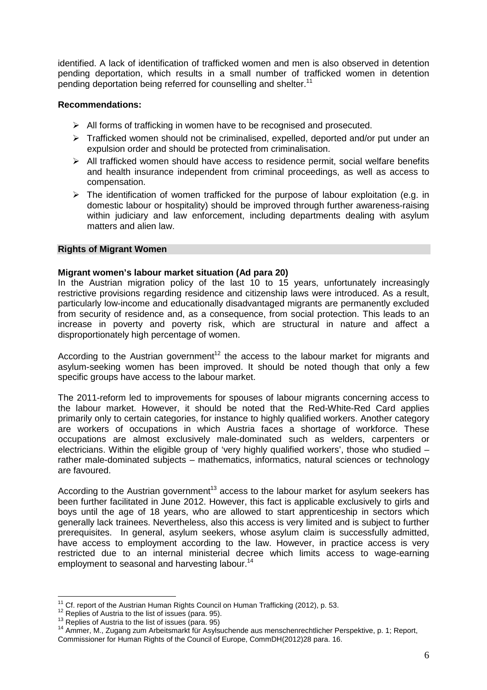identified. A lack of identification of trafficked women and men is also observed in detention pending deportation, which results in a small number of trafficked women in detention pending deportation being referred for counselling and shelter.<sup>11</sup>

#### **Recommendations:**

- $\triangleright$  All forms of trafficking in women have to be recognised and prosecuted.
- $\triangleright$  Trafficked women should not be criminalised, expelled, deported and/or put under an expulsion order and should be protected from criminalisation.
- $\triangleright$  All trafficked women should have access to residence permit, social welfare benefits and health insurance independent from criminal proceedings, as well as access to compensation.
- $\triangleright$  The identification of women trafficked for the purpose of labour exploitation (e.g. in domestic labour or hospitality) should be improved through further awareness-raising within judiciary and law enforcement, including departments dealing with asylum matters and alien law.

#### **Rights of Migrant Women**

#### **Migrant women's labour market situation (Ad para 20)**

In the Austrian migration policy of the last 10 to 15 years, unfortunately increasingly restrictive provisions regarding residence and citizenship laws were introduced. As a result, particularly low-income and educationally disadvantaged migrants are permanently excluded from security of residence and, as a consequence, from social protection. This leads to an increase in poverty and poverty risk, which are structural in nature and affect a disproportionately high percentage of women.

According to the Austrian government<sup>12</sup> the access to the labour market for migrants and asylum-seeking women has been improved. It should be noted though that only a few specific groups have access to the labour market.

The 2011-reform led to improvements for spouses of labour migrants concerning access to the labour market. However, it should be noted that the Red-White-Red Card applies primarily only to certain categories, for instance to highly qualified workers. Another category are workers of occupations in which Austria faces a shortage of workforce. These occupations are almost exclusively male-dominated such as welders, carpenters or electricians. Within the eligible group of 'very highly qualified workers', those who studied – rather male-dominated subjects – mathematics, informatics, natural sciences or technology are favoured.

According to the Austrian government<sup>13</sup> access to the labour market for asylum seekers has been further facilitated in June 2012. However, this fact is applicable exclusively to girls and boys until the age of 18 years, who are allowed to start apprenticeship in sectors which generally lack trainees. Nevertheless, also this access is very limited and is subject to further prerequisites. In general, asylum seekers, whose asylum claim is successfully admitted, have access to employment according to the law. However, in practice access is very restricted due to an internal ministerial decree which limits access to wage-earning employment to seasonal and harvesting labour.<sup>14</sup>

 $\overline{a}$  $11$  Cf. report of the Austrian Human Rights Council on Human Trafficking (2012), p. 53.

<sup>&</sup>lt;sup>12</sup> Replies of Austria to the list of issues (para. 95).

 $13$  Replies of Austria to the list of issues (para. 95)

<sup>&</sup>lt;sup>14</sup> Ammer, M., Zugang zum Arbeitsmarkt für Asylsuchende aus menschenrechtlicher Perspektive, p. 1; Report, Commissioner for Human Rights of the Council of Europe, CommDH(2012)28 para. 16.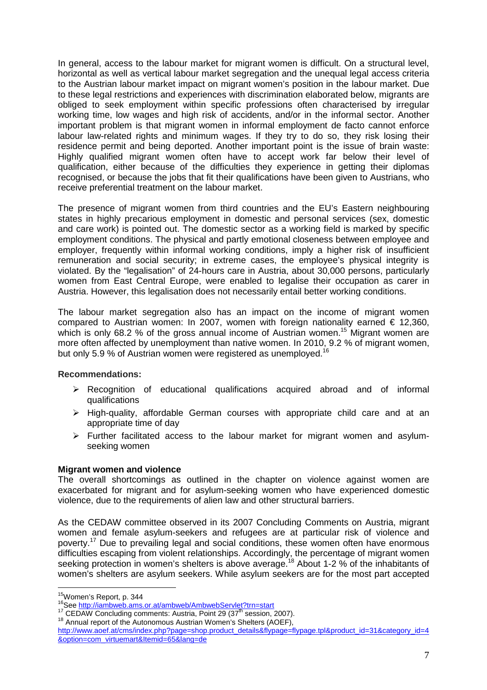In general, access to the labour market for migrant women is difficult. On a structural level, horizontal as well as vertical labour market segregation and the unequal legal access criteria to the Austrian labour market impact on migrant women's position in the labour market. Due to these legal restrictions and experiences with discrimination elaborated below, migrants are obliged to seek employment within specific professions often characterised by irregular working time, low wages and high risk of accidents, and/or in the informal sector. Another important problem is that migrant women in informal employment de facto cannot enforce labour law-related rights and minimum wages. If they try to do so, they risk losing their residence permit and being deported. Another important point is the issue of brain waste: Highly qualified migrant women often have to accept work far below their level of qualification, either because of the difficulties they experience in getting their diplomas recognised, or because the jobs that fit their qualifications have been given to Austrians, who receive preferential treatment on the labour market.

The presence of migrant women from third countries and the EU's Eastern neighbouring states in highly precarious employment in domestic and personal services (sex, domestic and care work) is pointed out. The domestic sector as a working field is marked by specific employment conditions. The physical and partly emotional closeness between employee and employer, frequently within informal working conditions, imply a higher risk of insufficient remuneration and social security; in extreme cases, the employee's physical integrity is violated. By the "legalisation" of 24-hours care in Austria, about 30,000 persons, particularly women from East Central Europe, were enabled to legalise their occupation as carer in Austria. However, this legalisation does not necessarily entail better working conditions.

The labour market segregation also has an impact on the income of migrant women compared to Austrian women: In 2007, women with foreign nationality earned  $\epsilon$  12,360, which is only 68.2 % of the gross annual income of Austrian women.<sup>15</sup> Migrant women are more often affected by unemployment than native women. In 2010, 9.2 % of migrant women, but only 5.9 % of Austrian women were registered as unemployed.<sup>16</sup>

#### **Recommendations:**

- Recognition of educational qualifications acquired abroad and of informal qualifications
- $\triangleright$  High-quality, affordable German courses with appropriate child care and at an appropriate time of day
- $\triangleright$  Further facilitated access to the labour market for migrant women and asylumseeking women

#### **Migrant women and violence**

The overall shortcomings as outlined in the chapter on violence against women are exacerbated for migrant and for asylum-seeking women who have experienced domestic violence, due to the requirements of alien law and other structural barriers.

As the CEDAW committee observed in its 2007 Concluding Comments on Austria, migrant women and female asylum-seekers and refugees are at particular risk of violence and poverty.<sup>17</sup> Due to prevailing legal and social conditions, these women often have enormous difficulties escaping from violent relationships. Accordingly, the percentage of migrant women seeking protection in women's shelters is above average.<sup>18</sup> About 1-2 % of the inhabitants of women's shelters are asylum seekers. While asylum seekers are for the most part accepted

 $\overline{a}$ 

<sup>&</sup>lt;sup>15</sup>Women's Report, p. 344

<sup>&</sup>lt;sup>16</sup>See http://iambweb.ams.or.at/ambweb/AmbwebServlet?trn=start

<sup>&</sup>lt;sup>17</sup> CEDAW Concluding comments: Austria, Point 29 (37<sup>th</sup> session, 2007).

<sup>&</sup>lt;sup>18</sup> Annual report of the Autonomous Austrian Women's Shelters (AOEF),

http://www.aoef.at/cms/index.php?page=shop.product\_details&flypage=flypage.tpl&product\_id=31&category\_id=4 &option=com\_virtuemart&Itemid=65&lang=de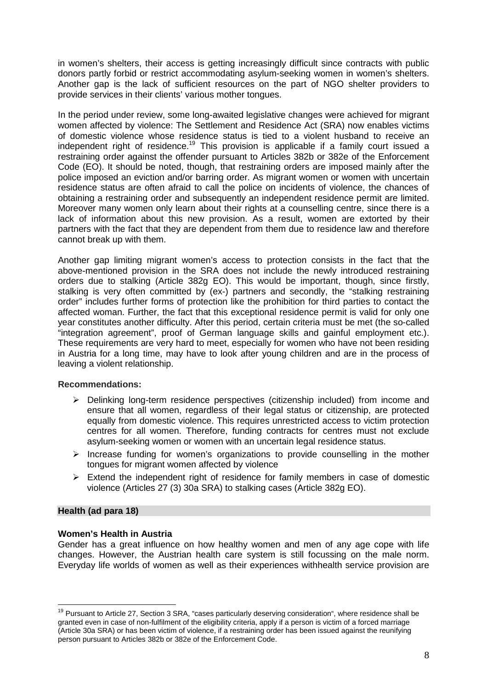in women's shelters, their access is getting increasingly difficult since contracts with public donors partly forbid or restrict accommodating asylum-seeking women in women's shelters. Another gap is the lack of sufficient resources on the part of NGO shelter providers to provide services in their clients' various mother tongues.

In the period under review, some long-awaited legislative changes were achieved for migrant women affected by violence: The Settlement and Residence Act (SRA) now enables victims of domestic violence whose residence status is tied to a violent husband to receive an independent right of residence.<sup>19</sup> This provision is applicable if a family court issued a restraining order against the offender pursuant to Articles 382b or 382e of the Enforcement Code (EO). It should be noted, though, that restraining orders are imposed mainly after the police imposed an eviction and/or barring order. As migrant women or women with uncertain residence status are often afraid to call the police on incidents of violence, the chances of obtaining a restraining order and subsequently an independent residence permit are limited. Moreover many women only learn about their rights at a counselling centre, since there is a lack of information about this new provision. As a result, women are extorted by their partners with the fact that they are dependent from them due to residence law and therefore cannot break up with them.

Another gap limiting migrant women's access to protection consists in the fact that the above-mentioned provision in the SRA does not include the newly introduced restraining orders due to stalking (Article 382g EO). This would be important, though, since firstly, stalking is very often committed by (ex-) partners and secondly, the "stalking restraining order" includes further forms of protection like the prohibition for third parties to contact the affected woman. Further, the fact that this exceptional residence permit is valid for only one year constitutes another difficulty. After this period, certain criteria must be met (the so-called "integration agreement", proof of German language skills and gainful employment etc.). These requirements are very hard to meet, especially for women who have not been residing in Austria for a long time, may have to look after young children and are in the process of leaving a violent relationship.

#### **Recommendations:**

- $\triangleright$  Delinking long-term residence perspectives (citizenship included) from income and ensure that all women, regardless of their legal status or citizenship, are protected equally from domestic violence. This requires unrestricted access to victim protection centres for all women. Therefore, funding contracts for centres must not exclude asylum-seeking women or women with an uncertain legal residence status.
- $\triangleright$  Increase funding for women's organizations to provide counselling in the mother tongues for migrant women affected by violence
- $\triangleright$  Extend the independent right of residence for family members in case of domestic violence (Articles 27 (3) 30a SRA) to stalking cases (Article 382g EO).

#### **Health (ad para 18)**

#### **Women's Health in Austria**

Gender has a great influence on how healthy women and men of any age cope with life changes. However, the Austrian health care system is still focussing on the male norm. Everyday life worlds of women as well as their experiences withhealth service provision are

 $\overline{\phantom{a}}$  $19$  Pursuant to Article 27, Section 3 SRA, "cases particularly deserving consideration", where residence shall be granted even in case of non-fulfilment of the eligibility criteria, apply if a person is victim of a forced marriage (Article 30a SRA) or has been victim of violence, if a restraining order has been issued against the reunifying person pursuant to Articles 382b or 382e of the Enforcement Code.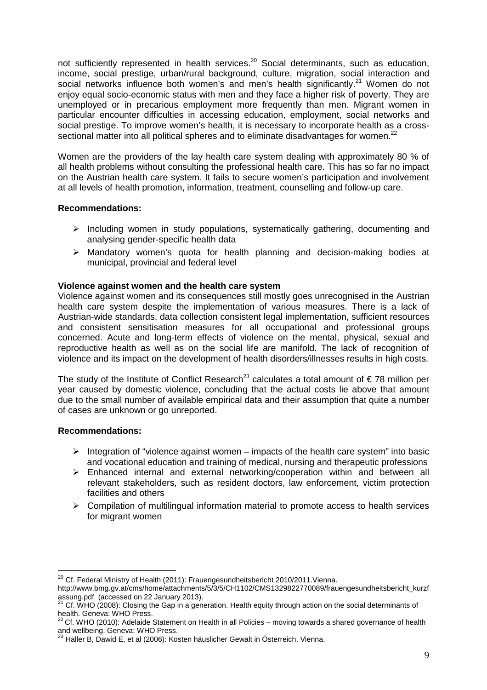not sufficiently represented in health services.<sup>20</sup> Social determinants, such as education, income, social prestige, urban/rural background, culture, migration, social interaction and social networks influence both women's and men's health significantly.<sup>21</sup> Women do not enjoy equal socio-economic status with men and they face a higher risk of poverty. They are unemployed or in precarious employment more frequently than men. Migrant women in particular encounter difficulties in accessing education, employment, social networks and social prestige. To improve women's health, it is necessary to incorporate health as a crosssectional matter into all political spheres and to eliminate disadvantages for women.<sup>22</sup>

Women are the providers of the lay health care system dealing with approximately 80 % of all health problems without consulting the professional health care. This has so far no impact on the Austrian health care system. It fails to secure women's participation and involvement at all levels of health promotion, information, treatment, counselling and follow-up care.

#### **Recommendations:**

- $\triangleright$  Including women in study populations, systematically gathering, documenting and analysing gender-specific health data
- Mandatory women's quota for health planning and decision-making bodies at municipal, provincial and federal level

#### **Violence against women and the health care system**

Violence against women and its consequences still mostly goes unrecognised in the Austrian health care system despite the implementation of various measures. There is a lack of Austrian-wide standards, data collection consistent legal implementation, sufficient resources and consistent sensitisation measures for all occupational and professional groups concerned. Acute and long-term effects of violence on the mental, physical, sexual and reproductive health as well as on the social life are manifold. The lack of recognition of violence and its impact on the development of health disorders/illnesses results in high costs.

The study of the Institute of Conflict Research<sup>23</sup> calculates a total amount of  $\epsilon$  78 million per year caused by domestic violence, concluding that the actual costs lie above that amount due to the small number of available empirical data and their assumption that quite a number of cases are unknown or go unreported.

## **Recommendations:**

- Integration of "violence against women impacts of the health care system" into basic and vocational education and training of medical, nursing and therapeutic professions
- Enhanced internal and external networking/cooperation within and between all relevant stakeholders, such as resident doctors, law enforcement, victim protection facilities and others
- $\triangleright$  Compilation of multilingual information material to promote access to health services for migrant women

 $\overline{a}$  $^{20}$  Cf. Federal Ministry of Health (2011): Frauengesundheitsbericht 2010/2011. Vienna.

http://www.bmg.gv.at/cms/home/attachments/5/3/5/CH1102/CMS1329822770089/frauengesundheitsbericht\_kurzf assung.pdf (accessed on 22 January 2013).

<sup>21</sup> Cf. WHO (2008): Closing the Gap in a generation. Health equity through action on the social determinants of health. Geneva: WHO Press.

 $^{22}$ Cf. WHO (2010): Adelaide Statement on Health in all Policies – moving towards a shared governance of health and wellbeing. Geneva: WHO Press.

 $^{23}$  Haller B, Dawid E, et al (2006): Kosten häuslicher Gewalt in Österreich, Vienna.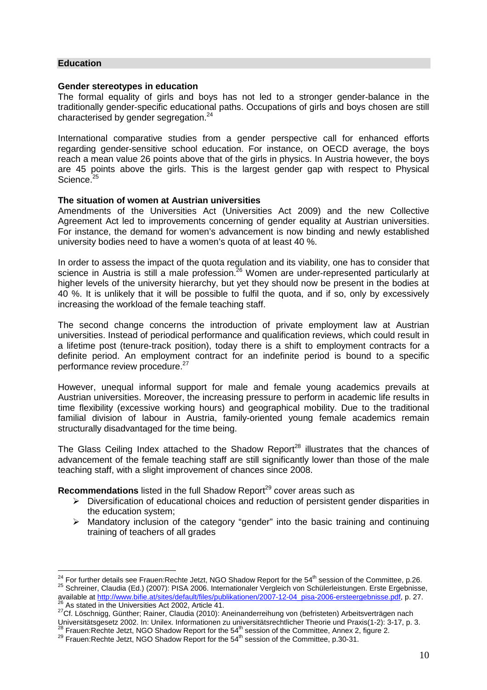#### **Education**

 $\overline{a}$ 

#### **Gender stereotypes in education**

The formal equality of girls and boys has not led to a stronger gender-balance in the traditionally gender-specific educational paths. Occupations of girls and boys chosen are still characterised by gender segregation.<sup>24</sup>

International comparative studies from a gender perspective call for enhanced efforts regarding gender-sensitive school education. For instance, on OECD average, the boys reach a mean value 26 points above that of the girls in physics. In Austria however, the boys are 45 points above the girls. This is the largest gender gap with respect to Physical Science.<sup>25</sup>

#### **The situation of women at Austrian universities**

Amendments of the Universities Act (Universities Act 2009) and the new Collective Agreement Act led to improvements concerning of gender equality at Austrian universities. For instance, the demand for women's advancement is now binding and newly established university bodies need to have a women's quota of at least 40 %.

In order to assess the impact of the quota regulation and its viability, one has to consider that science in Austria is still a male profession.<sup>26</sup> Women are under-represented particularly at higher levels of the university hierarchy, but yet they should now be present in the bodies at 40 %. It is unlikely that it will be possible to fulfil the quota, and if so, only by excessively increasing the workload of the female teaching staff.

The second change concerns the introduction of private employment law at Austrian universities. Instead of periodical performance and qualification reviews, which could result in a lifetime post (tenure-track position), today there is a shift to employment contracts for a definite period. An employment contract for an indefinite period is bound to a specific performance review procedure.<sup>27</sup>

However, unequal informal support for male and female young academics prevails at Austrian universities. Moreover, the increasing pressure to perform in academic life results in time flexibility (excessive working hours) and geographical mobility. Due to the traditional familial division of labour in Austria, family-oriented young female academics remain structurally disadvantaged for the time being.

The Glass Ceiling Index attached to the Shadow Report<sup>28</sup> illustrates that the chances of advancement of the female teaching staff are still significantly lower than those of the male teaching staff, with a slight improvement of chances since 2008.

**Recommendations** listed in the full Shadow Report<sup>29</sup> cover areas such as

- $\triangleright$  Diversification of educational choices and reduction of persistent gender disparities in the education system;
- Mandatory inclusion of the category "gender" into the basic training and continuing training of teachers of all grades

 $^{24}$  For further details see Frauen:Rechte Jetzt, NGO Shadow Report for the 54<sup>th</sup> session of the Committee, p.26. 25 Schreiner, Claudia (Ed.) (2007): PISA 2006. Internationaler Vergleich von Schülerleistungen. Erste Ergebnisse, available at http://www.bifie.at/sites/default/files/publikationen/2007-12-04\_pisa-2006-ersteergebnisse.pdf, p. 27. <sup>26</sup> As stated in the Universities Act 2002, Article 41.

<sup>27</sup>Cf. Löschnigg, Günther; Rainer, Claudia (2010): Aneinanderreihung von (befristeten) Arbeitsverträgen nach Universitätsgesetz 2002. In: Unilex. Informationen zu universitätsrechtlicher Theorie und Praxis(1-2): 3-17, p. 3.  $^{28}$  Frauen: Rechte Jetzt, NGO Shadow Report for the 54<sup>th</sup> session of the Committee, Annex 2, figure 2.

 $^{29}$  Frauen:Rechte Jetzt, NGO Shadow Report for the 54<sup>th</sup> session of the Committee, p.30-31.